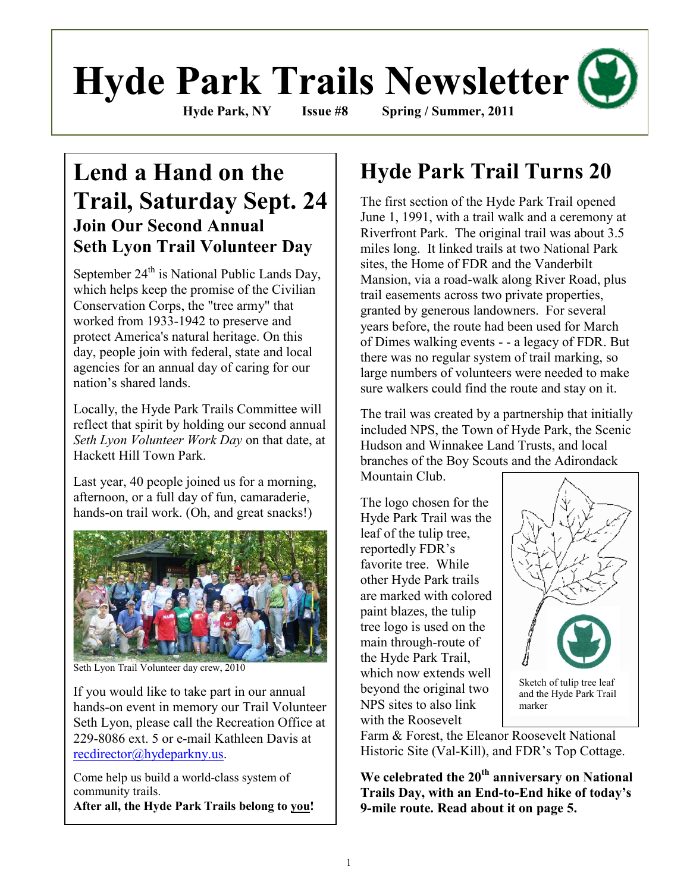# **Hyde Park Trails Newsletter Hyde Park, NY Issue #8 Spring / Summer, 2011**

## **Lend a Hand on the Trail, Saturday Sept. 24 Join Our Second Annual Seth Lyon Trail Volunteer Day**

September  $24^{th}$  is National Public Lands Day, which helps keep the promise of the Civilian Conservation Corps, the "tree army" that worked from 1933-1942 to preserve and protect America's natural heritage. On this day, people join with federal, state and local agencies for an annual day of caring for our nation's shared lands.

Locally, the Hyde Park Trails Committee will reflect that spirit by holding our second annual *Seth Lyon Volunteer Work Day* on that date, at Hackett Hill Town Park.

Last year, 40 people joined us for a morning, afternoon, or a full day of fun, camaraderie, hands-on trail work. (Oh, and great snacks!)



Seth Lyon Trail Volunteer day crew, 2010

If you would like to take part in our annual hands-on event in memory our Trail Volunteer Seth Lyon, please call the Recreation Office at 229-8086 ext. 5 or e-mail Kathleen Davis at [recdirector@hydeparkny.us.](mailto:recdirector@hydeparkny.us)

Come help us build a world-class system of community trails. **After all, the Hyde Park Trails belong to you!**

## **Hyde Park Trail Turns 20**

The first section of the Hyde Park Trail opened June 1, 1991, with a trail walk and a ceremony at Riverfront Park. The original trail was about 3.5 miles long. It linked trails at two National Park sites, the Home of FDR and the Vanderbilt Mansion, via a road-walk along River Road, plus trail easements across two private properties, granted by generous landowners. For several years before, the route had been used for March of Dimes walking events - - a legacy of FDR. But there was no regular system of trail marking, so large numbers of volunteers were needed to make sure walkers could find the route and stay on it.

The trail was created by a partnership that initially included NPS, the Town of Hyde Park, the Scenic Hudson and Winnakee Land Trusts, and local branches of the Boy Scouts and the Adirondack Mountain Club.

The logo chosen for the Hyde Park Trail was the leaf of the tulip tree, reportedly FDR's favorite tree. While other Hyde Park trails are marked with colored paint blazes, the tulip tree logo is used on the main through-route of the Hyde Park Trail, which now extends well beyond the original two NPS sites to also link with the Roosevelt



Farm & Forest, the Eleanor Roosevelt National Historic Site (Val-Kill), and FDR's Top Cottage.

**We celebrated the 20th anniversary on National Trails Day, with an End-to-End hike of today's 9-mile route. Read about it on page 5.**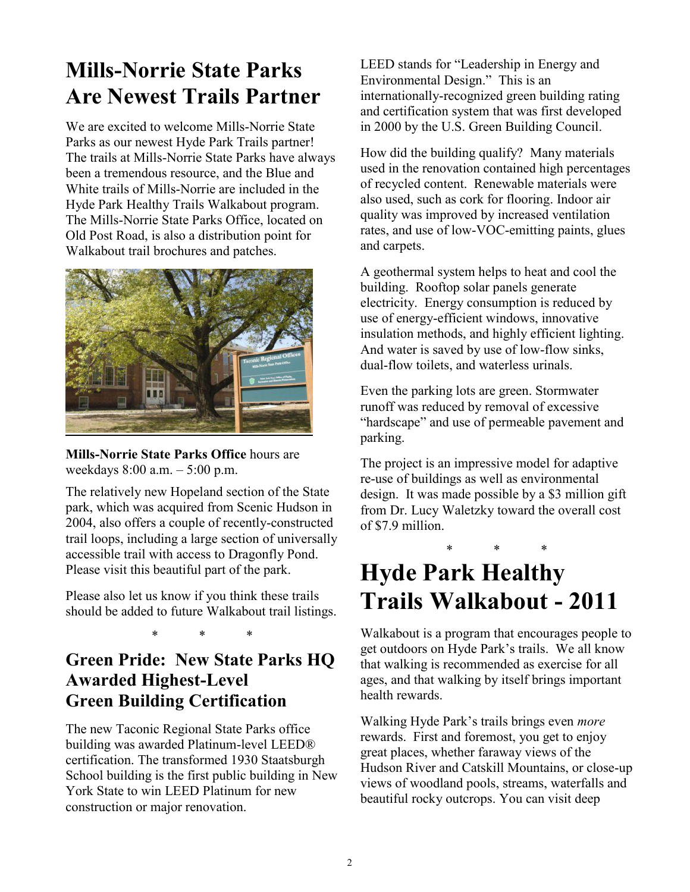## **Mills-Norrie State Parks Are Newest Trails Partner**

We are excited to welcome Mills-Norrie State Parks as our newest Hyde Park Trails partner! The trails at Mills-Norrie State Parks have always been a tremendous resource, and the Blue and White trails of Mills-Norrie are included in the Hyde Park Healthy Trails Walkabout program. The Mills-Norrie State Parks Office, located on Old Post Road, is also a distribution point for Walkabout trail brochures and patches.



**Mills-Norrie State Parks Office** hours are weekdays 8:00 a.m. – 5:00 p.m.

The relatively new Hopeland section of the State park, which was acquired from Scenic Hudson in 2004, also offers a couple of recently-constructed trail loops, including a large section of universally accessible trail with access to Dragonfly Pond. Please visit this beautiful part of the park.

Please also let us know if you think these trails should be added to future Walkabout trail listings.

\* \* \*

#### **Green Pride: New State Parks HQ Awarded Highest-Level Green Building Certification**

The new Taconic Regional State Parks office building was awarded Platinum-level LEED® certification. The transformed 1930 Staatsburgh School building is the first public building in New York State to win LEED Platinum for new construction or major renovation.

LEED stands for "Leadership in Energy and Environmental Design." This is an internationally-recognized green building rating and certification system that was first developed in 2000 by the U.S. Green Building Council.

How did the building qualify? Many materials used in the renovation contained high percentages of recycled content. Renewable materials were also used, such as cork for flooring. Indoor air quality was improved by increased ventilation rates, and use of low-VOC-emitting paints, glues and carpets.

A geothermal system helps to heat and cool the building. Rooftop solar panels generate electricity. Energy consumption is reduced by use of energy-efficient windows, innovative insulation methods, and highly efficient lighting. And water is saved by use of low-flow sinks, dual-flow toilets, and waterless urinals.

Even the parking lots are green. Stormwater runoff was reduced by removal of excessive "hardscape" and use of permeable pavement and parking.

The project is an impressive model for adaptive re-use of buildings as well as environmental design. It was made possible by a \$3 million gift from Dr. Lucy Waletzky toward the overall cost of \$7.9 million.

### \* \* \* **Hyde Park Healthy Trails Walkabout - 2011**

Walkabout is a program that encourages people to get outdoors on Hyde Park's trails. We all know that walking is recommended as exercise for all ages, and that walking by itself brings important health rewards.

Walking Hyde Park's trails brings even *more* rewards. First and foremost, you get to enjoy great places, whether faraway views of the Hudson River and Catskill Mountains, or close-up views of woodland pools, streams, waterfalls and beautiful rocky outcrops. You can visit deep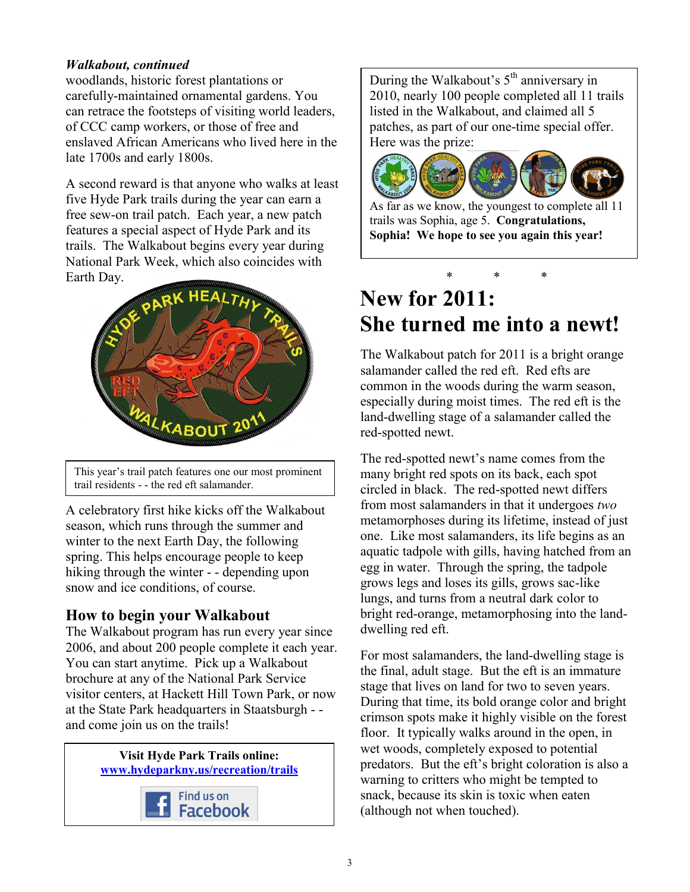#### *Walkabout, continued*

woodlands, historic forest plantations or carefully-maintained ornamental gardens. You can retrace the footsteps of visiting world leaders, of CCC camp workers, or those of free and enslaved African Americans who lived here in the late 1700s and early 1800s.

A second reward is that anyone who walks at least five Hyde Park trails during the year can earn a free sew-on trail patch. Each year, a new patch features a special aspect of Hyde Park and its trails. The Walkabout begins every year during National Park Week, which also coincides with Earth Day.



This year's trail patch features one our most prominent trail residents - - the red eft salamander.

A celebratory first hike kicks off the Walkabout season, which runs through the summer and winter to the next Earth Day, the following spring. This helps encourage people to keep hiking through the winter - - depending upon snow and ice conditions, of course.

#### **How to begin your Walkabout**

The Walkabout program has run every year since 2006, and about 200 people complete it each year. You can start anytime. Pick up a Walkabout brochure at any of the National Park Service visitor centers, at Hackett Hill Town Park, or now at the State Park headquarters in Staatsburgh - and come join us on the trails!



During the Walkabout's  $5<sup>th</sup>$  anniversary in 2010, nearly 100 people completed all 11 trails listed in the Walkabout, and claimed all 5 patches, as part of our one-time special offer. Here was the prize:



As far as we know, the youngest to complete all 11 trails was Sophia, age 5. **Congratulations, Sophia! We hope to see you again this year!**

#### \* \* \* **New for 2011: She turned me into a newt!**

The Walkabout patch for 2011 is a bright orange salamander called the red eft. Red efts are common in the woods during the warm season, especially during moist times. The red eft is the land-dwelling stage of a salamander called the red-spotted newt.

The red-spotted newt's name comes from the many bright red spots on its back, each spot circled in black. The red-spotted newt differs from most salamanders in that it undergoes *two*  metamorphoses during its lifetime, instead of just one. Like most salamanders, its life begins as an aquatic tadpole with gills, having hatched from an egg in water. Through the spring, the tadpole grows legs and loses its gills, grows sac-like lungs, and turns from a neutral dark color to bright red-orange, metamorphosing into the landdwelling red eft.

For most salamanders, the land-dwelling stage is the final, adult stage. But the eft is an immature stage that lives on land for two to seven years. During that time, its bold orange color and bright crimson spots make it highly visible on the forest floor. It typically walks around in the open, in wet woods, completely exposed to potential predators. But the eft's bright coloration is also a warning to critters who might be tempted to snack, because its skin is toxic when eaten (although not when touched).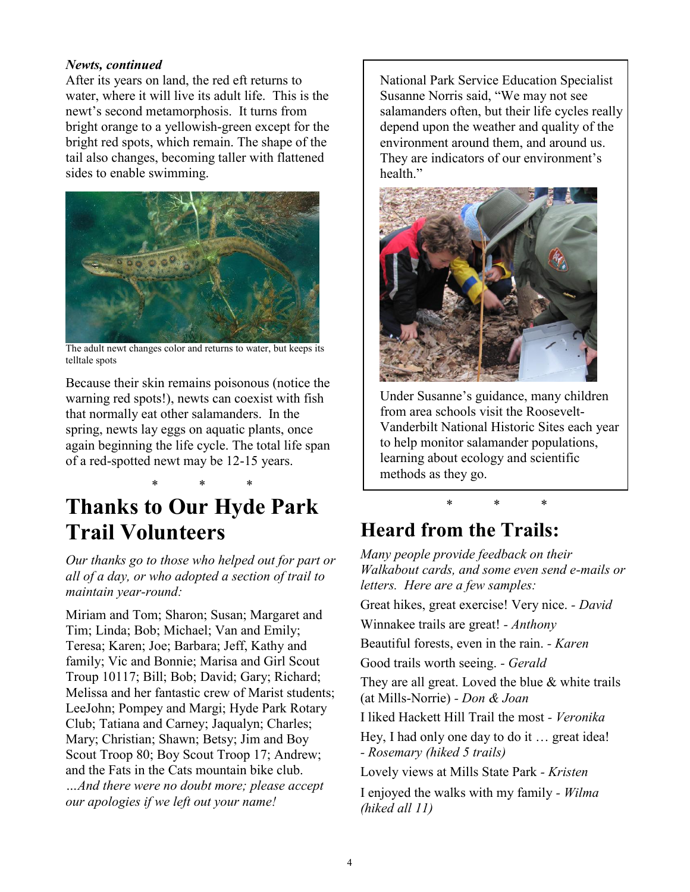#### *Newts, continued*

After its years on land, the red eft returns to water, where it will live its adult life. This is the newt's second metamorphosis. It turns from bright orange to a yellowish-green except for the bright red spots, which remain. The shape of the tail also changes, becoming taller with flattened sides to enable swimming.



The adult newt changes color and returns to water, but keeps its telltale spots

Because their skin remains poisonous (notice the warning red spots!), newts can coexist with fish that normally eat other salamanders. In the spring, newts lay eggs on aquatic plants, once again beginning the life cycle. The total life span of a red-spotted newt may be 12-15 years.

### \* \* \* **Thanks to Our Hyde Park Trail Volunteers**

*Our thanks go to those who helped out for part or all of a day, or who adopted a section of trail to maintain year-round:*

Miriam and Tom; Sharon; Susan; Margaret and Tim; Linda; Bob; Michael; Van and Emily; Teresa; Karen; Joe; Barbara; Jeff, Kathy and family; Vic and Bonnie; Marisa and Girl Scout Troup 10117; Bill; Bob; David; Gary; Richard; Melissa and her fantastic crew of Marist students; LeeJohn; Pompey and Margi; Hyde Park Rotary Club; Tatiana and Carney; Jaqualyn; Charles; Mary; Christian; Shawn; Betsy; Jim and Boy Scout Troop 80; Boy Scout Troop 17; Andrew; and the Fats in the Cats mountain bike club.

*…And there were no doubt more; please accept our apologies if we left out your name!*

National Park Service Education Specialist Susanne Norris said, "We may not see salamanders often, but their life cycles really depend upon the weather and quality of the environment around them, and around us. They are indicators of our environment's health."



Under Susanne's guidance, many children from area schools visit the Roosevelt-Vanderbilt National Historic Sites each year to help monitor salamander populations, learning about ecology and scientific methods as they go.

\* \* \*

## **Heard from the Trails:**

*Many people provide feedback on their Walkabout cards, and some even send e-mails or letters. Here are a few samples:* Great hikes, great exercise! Very nice. *- David* Winnakee trails are great! *- Anthony* Beautiful forests, even in the rain. *- Karen* Good trails worth seeing. *- Gerald* They are all great. Loved the blue & white trails (at Mills-Norrie) *- Don & Joan* I liked Hackett Hill Trail the most *- Veronika* Hey, I had only one day to do it … great idea! *- Rosemary (hiked 5 trails)* Lovely views at Mills State Park *- Kristen* I enjoyed the walks with my family *- Wilma (hiked all 11)*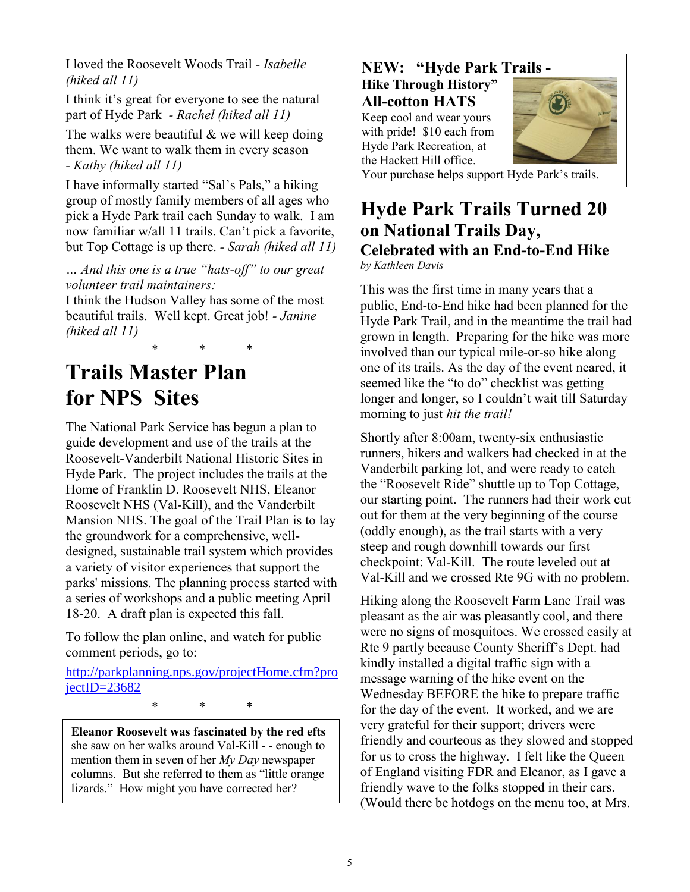I loved the Roosevelt Woods Trail *- Isabelle (hiked all 11)*

I think it's great for everyone to see the natural part of Hyde Park *- Rachel (hiked all 11)*

The walks were beautiful & we will keep doing them. We want to walk them in every season *- Kathy (hiked all 11)*

I have informally started "Sal's Pals," a hiking group of mostly family members of all ages who pick a Hyde Park trail each Sunday to walk. I am now familiar w/all 11 trails. Can't pick a favorite, but Top Cottage is up there. *- Sarah (hiked all 11)*

*… And this one is a true "hats-off" to our great volunteer trail maintainers:*

I think the Hudson Valley has some of the most beautiful trails. Well kept. Great job! *- Janine (hiked all 11)*

\* \* \*

**Trails Master Plan for NPS Sites**

The National Park Service has begun a plan to guide development and use of the trails at the Roosevelt-Vanderbilt National Historic Sites in Hyde Park. The project includes the trails at the Home of Franklin D. Roosevelt NHS, Eleanor Roosevelt NHS (Val-Kill), and the Vanderbilt Mansion NHS. The goal of the Trail Plan is to lay the groundwork for a comprehensive, welldesigned, sustainable trail system which provides a variety of visitor experiences that support the parks' missions. The planning process started with a series of workshops and a public meeting April 18-20. A draft plan is expected this fall.

To follow the plan online, and watch for public comment periods, go to:

[http://parkplanning.nps.gov/projectHome.cfm?pro](http://parkplanning.nps.gov/projectHome.cfm?projectID=23682) [jectID=23682](http://parkplanning.nps.gov/projectHome.cfm?projectID=23682)

\* \* \*

**Eleanor Roosevelt was fascinated by the red efts** she saw on her walks around Val-Kill - - enough to mention them in seven of her *My Day* newspaper columns. But she referred to them as "little orange lizards." How might you have corrected her?

**NEW: "Hyde Park Trails - Hike Through History" All-cotton HATS** Keep cool and wear yours with pride! \$10 each from Hyde Park Recreation, at the Hackett Hill office. Your purchase helps support Hyde Park's trails.

#### **Hyde Park Trails Turned 20 on National Trails Day, Celebrated with an End-to-End Hike** *by Kathleen Davis*

This was the first time in many years that a public, End-to-End hike had been planned for the Hyde Park Trail, and in the meantime the trail had grown in length. Preparing for the hike was more involved than our typical mile-or-so hike along one of its trails. As the day of the event neared, it seemed like the "to do" checklist was getting longer and longer, so I couldn't wait till Saturday morning to just *hit the trail!*

Shortly after 8:00am, twenty-six enthusiastic runners, hikers and walkers had checked in at the Vanderbilt parking lot, and were ready to catch the "Roosevelt Ride" shuttle up to Top Cottage, our starting point. The runners had their work cut out for them at the very beginning of the course (oddly enough), as the trail starts with a very steep and rough downhill towards our first checkpoint: Val-Kill. The route leveled out at Val-Kill and we crossed Rte 9G with no problem.

Hiking along the Roosevelt Farm Lane Trail was pleasant as the air was pleasantly cool, and there were no signs of mosquitoes. We crossed easily at Rte 9 partly because County Sheriff's Dept. had kindly installed a digital traffic sign with a message warning of the hike event on the Wednesday BEFORE the hike to prepare traffic for the day of the event. It worked, and we are very grateful for their support; drivers were friendly and courteous as they slowed and stopped for us to cross the highway. I felt like the Queen of England visiting FDR and Eleanor, as I gave a friendly wave to the folks stopped in their cars. (Would there be hotdogs on the menu too, at Mrs.